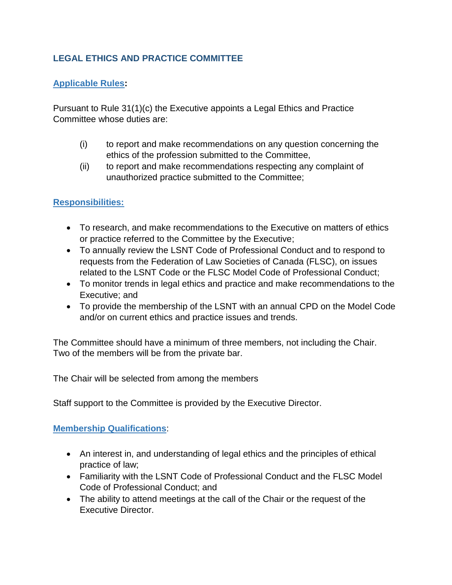# **LEGAL ETHICS AND PRACTICE COMMITTEE**

## **Applicable Rules:**

Pursuant to Rule 31(1)(c) the Executive appoints a Legal Ethics and Practice Committee whose duties are:

- (i) to report and make recommendations on any question concerning the ethics of the profession submitted to the Committee,
- (ii) to report and make recommendations respecting any complaint of unauthorized practice submitted to the Committee;

### **Responsibilities:**

- To research, and make recommendations to the Executive on matters of ethics or practice referred to the Committee by the Executive;
- To annually review the LSNT Code of Professional Conduct and to respond to requests from the Federation of Law Societies of Canada (FLSC), on issues related to the LSNT Code or the FLSC Model Code of Professional Conduct;
- To monitor trends in legal ethics and practice and make recommendations to the Executive; and
- To provide the membership of the LSNT with an annual CPD on the Model Code and/or on current ethics and practice issues and trends.

The Committee should have a minimum of three members, not including the Chair. Two of the members will be from the private bar.

The Chair will be selected from among the members

Staff support to the Committee is provided by the Executive Director.

### **Membership Qualifications**:

- An interest in, and understanding of legal ethics and the principles of ethical practice of law;
- Familiarity with the LSNT Code of Professional Conduct and the FLSC Model Code of Professional Conduct; and
- The ability to attend meetings at the call of the Chair or the request of the Executive Director.